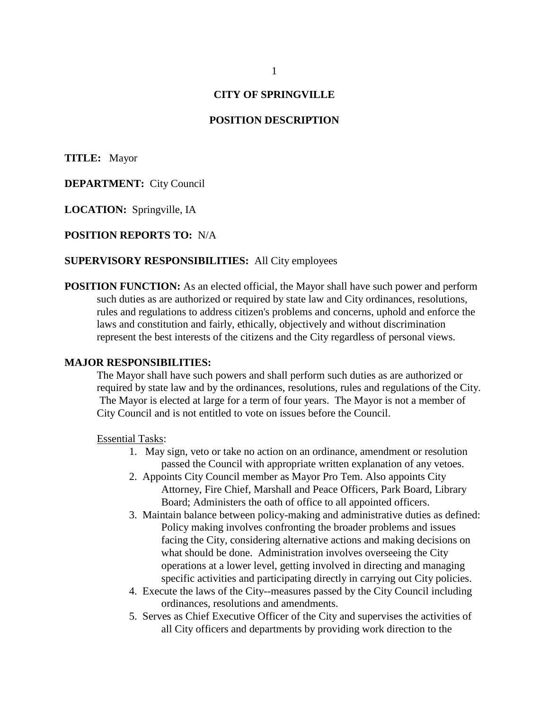# **CITY OF SPRINGVILLE**

### **POSITION DESCRIPTION**

**TITLE:** Mayor

**DEPARTMENT:** City Council

**LOCATION:** Springville, IA

**POSITION REPORTS TO:** N/A

### **SUPERVISORY RESPONSIBILITIES:** All City employees

**POSITION FUNCTION:** As an elected official, the Mayor shall have such power and perform such duties as are authorized or required by state law and City ordinances, resolutions, rules and regulations to address citizen's problems and concerns, uphold and enforce the laws and constitution and fairly, ethically, objectively and without discrimination represent the best interests of the citizens and the City regardless of personal views.

#### **MAJOR RESPONSIBILITIES:**

The Mayor shall have such powers and shall perform such duties as are authorized or required by state law and by the ordinances, resolutions, rules and regulations of the City. The Mayor is elected at large for a term of four years. The Mayor is not a member of City Council and is not entitled to vote on issues before the Council.

Essential Tasks:

- 1. May sign, veto or take no action on an ordinance, amendment or resolution passed the Council with appropriate written explanation of any vetoes.
- 2. Appoints City Council member as Mayor Pro Tem. Also appoints City Attorney, Fire Chief, Marshall and Peace Officers, Park Board, Library Board; Administers the oath of office to all appointed officers.
- 3. Maintain balance between policy-making and administrative duties as defined: Policy making involves confronting the broader problems and issues facing the City, considering alternative actions and making decisions on what should be done. Administration involves overseeing the City operations at a lower level, getting involved in directing and managing specific activities and participating directly in carrying out City policies.
- 4. Execute the laws of the City--measures passed by the City Council including ordinances, resolutions and amendments.
- 5. Serves as Chief Executive Officer of the City and supervises the activities of all City officers and departments by providing work direction to the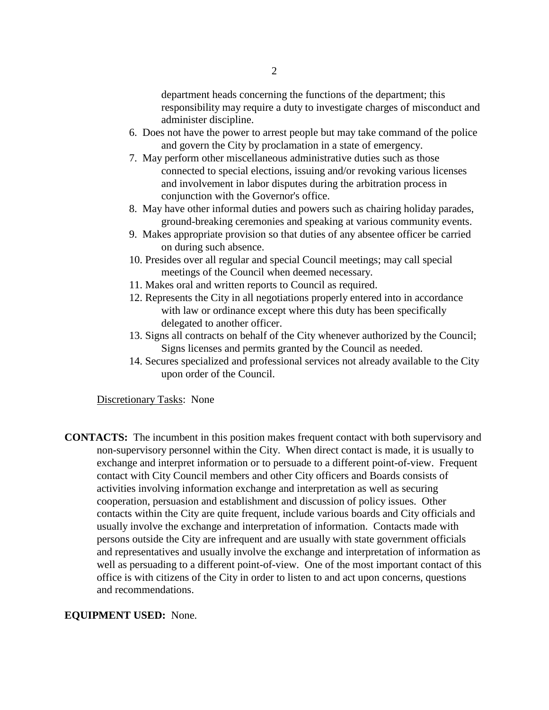department heads concerning the functions of the department; this responsibility may require a duty to investigate charges of misconduct and administer discipline.

- 6. Does not have the power to arrest people but may take command of the police and govern the City by proclamation in a state of emergency.
- 7. May perform other miscellaneous administrative duties such as those connected to special elections, issuing and/or revoking various licenses and involvement in labor disputes during the arbitration process in conjunction with the Governor's office.
- 8. May have other informal duties and powers such as chairing holiday parades, ground-breaking ceremonies and speaking at various community events.
- 9. Makes appropriate provision so that duties of any absentee officer be carried on during such absence.
- 10. Presides over all regular and special Council meetings; may call special meetings of the Council when deemed necessary.
- 11. Makes oral and written reports to Council as required.
- 12. Represents the City in all negotiations properly entered into in accordance with law or ordinance except where this duty has been specifically delegated to another officer.
- 13. Signs all contracts on behalf of the City whenever authorized by the Council; Signs licenses and permits granted by the Council as needed.
- 14. Secures specialized and professional services not already available to the City upon order of the Council.

Discretionary Tasks: None

**CONTACTS:** The incumbent in this position makes frequent contact with both supervisory and non-supervisory personnel within the City. When direct contact is made, it is usually to exchange and interpret information or to persuade to a different point-of-view. Frequent contact with City Council members and other City officers and Boards consists of activities involving information exchange and interpretation as well as securing cooperation, persuasion and establishment and discussion of policy issues. Other contacts within the City are quite frequent, include various boards and City officials and usually involve the exchange and interpretation of information. Contacts made with persons outside the City are infrequent and are usually with state government officials and representatives and usually involve the exchange and interpretation of information as well as persuading to a different point-of-view. One of the most important contact of this office is with citizens of the City in order to listen to and act upon concerns, questions and recommendations.

## **EQUIPMENT USED:** None.